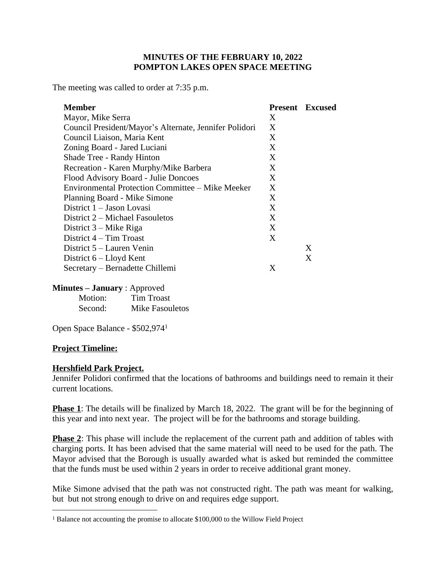# **MINUTES OF THE FEBRUARY 10, 2022 POMPTON LAKES OPEN SPACE MEETING**

The meeting was called to order at 7:35 p.m.

| <b>Member</b>                                          |   | <b>Present</b> Excused |
|--------------------------------------------------------|---|------------------------|
| Mayor, Mike Serra                                      | X |                        |
| Council President/Mayor's Alternate, Jennifer Polidori | X |                        |
| Council Liaison, Maria Kent                            | X |                        |
| Zoning Board - Jared Luciani                           | X |                        |
| Shade Tree - Randy Hinton                              | X |                        |
| Recreation - Karen Murphy/Mike Barbera                 | X |                        |
| Flood Advisory Board - Julie Doncoes                   | X |                        |
| Environmental Protection Committee – Mike Meeker       | X |                        |
| Planning Board - Mike Simone                           | X |                        |
| District 1 – Jason Lovasi                              | X |                        |
| District 2 – Michael Fasouletos                        | X |                        |
| District $3 -$ Mike Riga                               | X |                        |
| District $4 - Tim$ Troast                              | X |                        |
| District 5 – Lauren Venin                              |   | X                      |
| District $6$ – Lloyd Kent                              |   | X                      |
| Secretary – Bernadette Chillemi                        | X |                        |

#### **Minutes – January** : Approved

Motion: Tim Troast Second: Mike Fasouletos

Open Space Balance - \$502,974<sup>1</sup>

### **Project Timeline:**

### **Hershfield Park Project.**

Jennifer Polidori confirmed that the locations of bathrooms and buildings need to remain it their current locations.

**Phase 1**: The details will be finalized by March 18, 2022. The grant will be for the beginning of this year and into next year. The project will be for the bathrooms and storage building.

**Phase 2**: This phase will include the replacement of the current path and addition of tables with charging ports. It has been advised that the same material will need to be used for the path. The Mayor advised that the Borough is usually awarded what is asked but reminded the committee that the funds must be used within 2 years in order to receive additional grant money.

Mike Simone advised that the path was not constructed right. The path was meant for walking, but but not strong enough to drive on and requires edge support.

<sup>&</sup>lt;sup>1</sup> Balance not accounting the promise to allocate \$100,000 to the Willow Field Project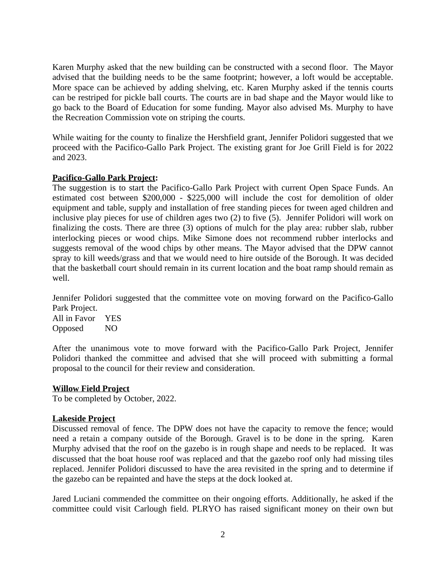Karen Murphy asked that the new building can be constructed with a second floor. The Mayor advised that the building needs to be the same footprint; however, a loft would be acceptable. More space can be achieved by adding shelving, etc. Karen Murphy asked if the tennis courts can be restriped for pickle ball courts. The courts are in bad shape and the Mayor would like to go back to the Board of Education for some funding. Mayor also advised Ms. Murphy to have the Recreation Commission vote on striping the courts.

While waiting for the county to finalize the Hershfield grant, Jennifer Polidori suggested that we proceed with the Pacifico-Gallo Park Project. The existing grant for Joe Grill Field is for 2022 and 2023.

# **Pacifico-Gallo Park Project:**

The suggestion is to start the Pacifico-Gallo Park Project with current Open Space Funds. An estimated cost between \$200,000 - \$225,000 will include the cost for demolition of older equipment and table, supply and installation of free standing pieces for tween aged children and inclusive play pieces for use of children ages two (2) to five (5). Jennifer Polidori will work on finalizing the costs. There are three (3) options of mulch for the play area: rubber slab, rubber interlocking pieces or wood chips. Mike Simone does not recommend rubber interlocks and suggests removal of the wood chips by other means. The Mayor advised that the DPW cannot spray to kill weeds/grass and that we would need to hire outside of the Borough. It was decided that the basketball court should remain in its current location and the boat ramp should remain as well.

Jennifer Polidori suggested that the committee vote on moving forward on the Pacifico-Gallo Park Project.

All in Favor YES Opposed NO

After the unanimous vote to move forward with the Pacifico-Gallo Park Project, Jennifer Polidori thanked the committee and advised that she will proceed with submitting a formal proposal to the council for their review and consideration.

### **Willow Field Project**

To be completed by October, 2022.

### **Lakeside Project**

Discussed removal of fence. The DPW does not have the capacity to remove the fence; would need a retain a company outside of the Borough. Gravel is to be done in the spring. Karen Murphy advised that the roof on the gazebo is in rough shape and needs to be replaced. It was discussed that the boat house roof was replaced and that the gazebo roof only had missing tiles replaced. Jennifer Polidori discussed to have the area revisited in the spring and to determine if the gazebo can be repainted and have the steps at the dock looked at.

Jared Luciani commended the committee on their ongoing efforts. Additionally, he asked if the committee could visit Carlough field. PLRYO has raised significant money on their own but